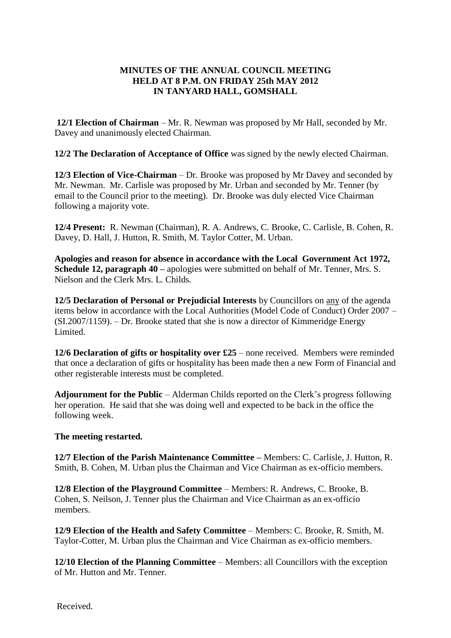## **MINUTES OF THE ANNUAL COUNCIL MEETING HELD AT 8 P.M. ON FRIDAY 25th MAY 2012 IN TANYARD HALL, GOMSHALL**

**12/1 Election of Chairman** – Mr. R. Newman was proposed by Mr Hall, seconded by Mr. Davey and unanimously elected Chairman.

**12/2 The Declaration of Acceptance of Office** was signed by the newly elected Chairman.

**12/3 Election of Vice-Chairman** – Dr. Brooke was proposed by Mr Davey and seconded by Mr. Newman. Mr. Carlisle was proposed by Mr. Urban and seconded by Mr. Tenner (by email to the Council prior to the meeting). Dr. Brooke was duly elected Vice Chairman following a majority vote.

**12/4 Present:** R. Newman (Chairman), R. A. Andrews, C. Brooke, C. Carlisle, B. Cohen, R. Davey, D. Hall, J. Hutton, R. Smith, M. Taylor Cotter, M. Urban.

**Apologies and reason for absence in accordance with the Local Government Act 1972, Schedule 12, paragraph 40 –** apologies were submitted on behalf of Mr. Tenner, Mrs. S. Nielson and the Clerk Mrs. L. Childs.

**12/5 Declaration of Personal or Prejudicial Interests** by Councillors on any of the agenda items below in accordance with the Local Authorities (Model Code of Conduct) Order 2007 – (SI.2007/1159). – Dr. Brooke stated that she is now a director of Kimmeridge Energy Limited.

**12/6 Declaration of gifts or hospitality over £25** – none received. Members were reminded that once a declaration of gifts or hospitality has been made then a new Form of Financial and other registerable interests must be completed.

**Adjournment for the Public** – Alderman Childs reported on the Clerk's progress following her operation. He said that she was doing well and expected to be back in the office the following week.

#### **The meeting restarted.**

**12/7 Election of the Parish Maintenance Committee –** Members: C. Carlisle, J. Hutton, R. Smith, B. Cohen, M. Urban plus the Chairman and Vice Chairman as ex-officio members.

**12/8 Election of the Playground Committee** – Members: R. Andrews, C. Brooke, B. Cohen, S. Neilson, J. Tenner plus the Chairman and Vice Chairman as an ex-officio members.

**12/9 Election of the Health and Safety Committee** – Members: C. Brooke, R. Smith, M. Taylor-Cotter, M. Urban plus the Chairman and Vice Chairman as ex-officio members.

**12/10 Election of the Planning Committee** – Members: all Councillors with the exception of Mr. Hutton and Mr. Tenner.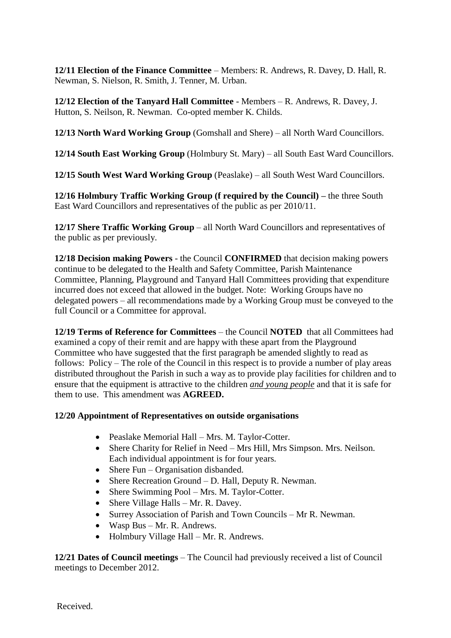**12/11 Election of the Finance Committee** – Members: R. Andrews, R. Davey, D. Hall, R. Newman, S. Nielson, R. Smith, J. Tenner, M. Urban.

**12/12 Election of the Tanyard Hall Committee** - Members – R. Andrews, R. Davey, J. Hutton, S. Neilson, R. Newman. Co-opted member K. Childs.

**12/13 North Ward Working Group** (Gomshall and Shere) – all North Ward Councillors.

**12/14 South East Working Group** (Holmbury St. Mary) – all South East Ward Councillors.

**12/15 South West Ward Working Group** (Peaslake) – all South West Ward Councillors.

**12/16 Holmbury Traffic Working Group (f required by the Council) –** the three South East Ward Councillors and representatives of the public as per 2010/11.

**12/17 Shere Traffic Working Group** – all North Ward Councillors and representatives of the public as per previously.

**12/18 Decision making Powers** - the Council **CONFIRMED** that decision making powers continue to be delegated to the Health and Safety Committee, Parish Maintenance Committee, Planning, Playground and Tanyard Hall Committees providing that expenditure incurred does not exceed that allowed in the budget. Note: Working Groups have no delegated powers – all recommendations made by a Working Group must be conveyed to the full Council or a Committee for approval.

**12/19 Terms of Reference for Committees** – the Council **NOTED** that all Committees had examined a copy of their remit and are happy with these apart from the Playground Committee who have suggested that the first paragraph be amended slightly to read as follows: Policy – The role of the Council in this respect is to provide a number of play areas distributed throughout the Parish in such a way as to provide play facilities for children and to ensure that the equipment is attractive to the children *and young people* and that it is safe for them to use. This amendment was **AGREED.**

## **12/20 Appointment of Representatives on outside organisations**

- Peaslake Memorial Hall Mrs. M. Taylor-Cotter.
- Shere Charity for Relief in Need Mrs Hill, Mrs Simpson. Mrs. Neilson. Each individual appointment is for four years.
- Shere Fun Organisation disbanded.
- Shere Recreation Ground D. Hall, Deputy R. Newman.
- Shere Swimming Pool Mrs. M. Taylor-Cotter.
- Shere Village Halls Mr. R. Davey.
- Surrey Association of Parish and Town Councils Mr R. Newman.
- Wasp Bus Mr. R. Andrews.
- Holmbury Village Hall Mr. R. Andrews.

**12/21 Dates of Council meetings** – The Council had previously received a list of Council meetings to December 2012.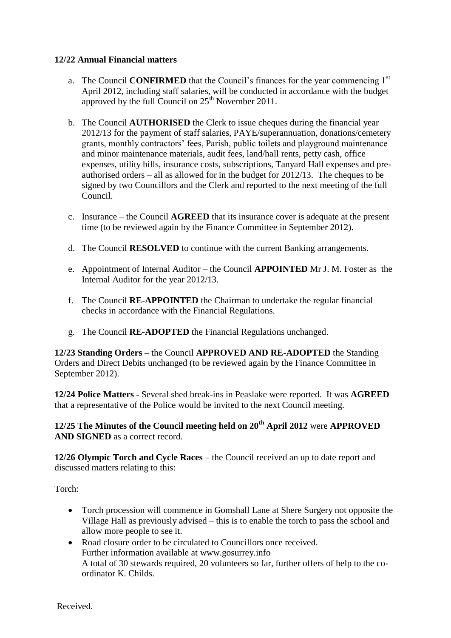### **12/22 Annual Financial matters**

- a. The Council **CONFIRMED** that the Council's finances for the year commencing 1<sup>st</sup> April 2012, including staff salaries, will be conducted in accordance with the budget approved by the full Council on  $25<sup>th</sup>$  November 2011.
- b. The Council **AUTHORISED** the Clerk to issue cheques during the financial year 2012/13 for the payment of staff salaries, PAYE/superannuation, donations/cemetery grants, monthly contractors' fees, Parish, public toilets and playground maintenance and minor maintenance materials, audit fees, land/hall rents, petty cash, office expenses, utility bills, insurance costs, subscriptions, Tanyard Hall expenses and preauthorised orders – all as allowed for in the budget for 2012/13. The cheques to be signed by two Councillors and the Clerk and reported to the next meeting of the full Council.
- c. Insurance the Council **AGREED** that its insurance cover is adequate at the present time (to be reviewed again by the Finance Committee in September 2012).
- d. The Council **RESOLVED** to continue with the current Banking arrangements.
- e. Appointment of Internal Auditor the Council **APPOINTED** Mr J. M. Foster as the Internal Auditor for the year 2012/13.
- f. The Council **RE-APPOINTED** the Chairman to undertake the regular financial checks in accordance with the Financial Regulations.
- g. The Council **RE-ADOPTED** the Financial Regulations unchanged.

**12/23 Standing Orders –** the Council **APPROVED AND RE-ADOPTED** the Standing Orders and Direct Debits unchanged (to be reviewed again by the Finance Committee in September 2012).

**12/24 Police Matters -** Several shed break-ins in Peaslake were reported. It was **AGREED**  that a representative of the Police would be invited to the next Council meeting.

# **12/25 The Minutes of the Council meeting held on 20th April 2012** were **APPROVED AND SIGNED** as a correct record.

**12/26 Olympic Torch and Cycle Races** – the Council received an up to date report and discussed matters relating to this:

Torch:

- Torch procession will commence in Gomshall Lane at Shere Surgery not opposite the Village Hall as previously advised – this is to enable the torch to pass the school and allow more people to see it.
- Road closure order to be circulated to Councillors once received. Further information available at [www.gosurrey.info](http://www.gosurrey.info/) A total of 30 stewards required, 20 volunteers so far, further offers of help to the coordinator K. Childs.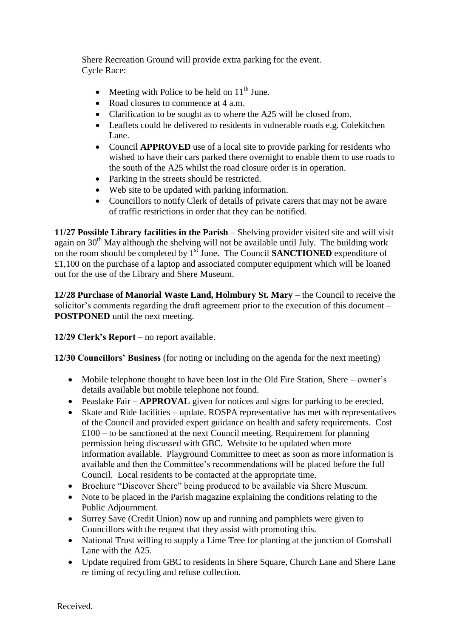Shere Recreation Ground will provide extra parking for the event. Cycle Race:

- Meeting with Police to be held on  $11<sup>th</sup>$  June.
- Road closures to commence at 4 a.m.
- Clarification to be sought as to where the A25 will be closed from.
- Leaflets could be delivered to residents in vulnerable roads e.g. Colekitchen Lane.
- Council **APPROVED** use of a local site to provide parking for residents who wished to have their cars parked there overnight to enable them to use roads to the south of the A25 whilst the road closure order is in operation.
- Parking in the streets should be restricted.
- Web site to be updated with parking information.
- Councillors to notify Clerk of details of private carers that may not be aware of traffic restrictions in order that they can be notified.

**11/27 Possible Library facilities in the Parish** – Shelving provider visited site and will visit again on  $30<sup>th</sup>$  May although the shelving will not be available until July. The building work on the room should be completed by  $1<sup>sf</sup>$  June. The Council **SANCTIONED** expenditure of £1,100 on the purchase of a laptop and associated computer equipment which will be loaned out for the use of the Library and Shere Museum.

**12/28 Purchase of Manorial Waste Land, Holmbury St. Mary –** the Council to receive the solicitor's comments regarding the draft agreement prior to the execution of this document – **POSTPONED** until the next meeting.

**12/29 Clerk's Report** – no report available.

**12/30 Councillors' Business** (for noting or including on the agenda for the next meeting)

- Mobile telephone thought to have been lost in the Old Fire Station, Shere owner's details available but mobile telephone not found.
- Peaslake Fair **APPROVAL** given for notices and signs for parking to be erected.
- Skate and Ride facilities update. ROSPA representative has met with representatives of the Council and provided expert guidance on health and safety requirements. Cost  $£100 -$  to be sanctioned at the next Council meeting. Requirement for planning permission being discussed with GBC. Website to be updated when more information available. Playground Committee to meet as soon as more information is available and then the Committee's recommendations will be placed before the full Council. Local residents to be contacted at the appropriate time.
- Brochure "Discover Shere" being produced to be available via Shere Museum.
- Note to be placed in the Parish magazine explaining the conditions relating to the Public Adjournment.
- Surrey Save (Credit Union) now up and running and pamphlets were given to Councillors with the request that they assist with promoting this.
- National Trust willing to supply a Lime Tree for planting at the junction of Gomshall Lane with the A25.
- Update required from GBC to residents in Shere Square, Church Lane and Shere Lane re timing of recycling and refuse collection.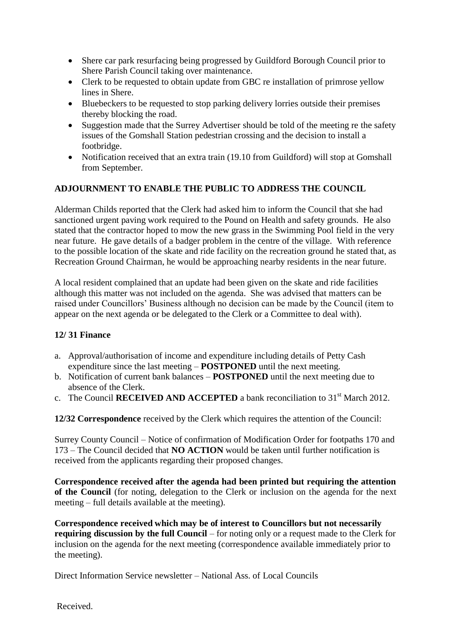- Shere car park resurfacing being progressed by Guildford Borough Council prior to Shere Parish Council taking over maintenance.
- Clerk to be requested to obtain update from GBC re installation of primrose yellow lines in Shere.
- Bluebeckers to be requested to stop parking delivery lorries outside their premises thereby blocking the road.
- Suggestion made that the Surrey Advertiser should be told of the meeting re the safety issues of the Gomshall Station pedestrian crossing and the decision to install a footbridge.
- Notification received that an extra train (19.10 from Guildford) will stop at Gomshall from September.

## **ADJOURNMENT TO ENABLE THE PUBLIC TO ADDRESS THE COUNCIL**

Alderman Childs reported that the Clerk had asked him to inform the Council that she had sanctioned urgent paving work required to the Pound on Health and safety grounds. He also stated that the contractor hoped to mow the new grass in the Swimming Pool field in the very near future. He gave details of a badger problem in the centre of the village. With reference to the possible location of the skate and ride facility on the recreation ground he stated that, as Recreation Ground Chairman, he would be approaching nearby residents in the near future.

A local resident complained that an update had been given on the skate and ride facilities although this matter was not included on the agenda. She was advised that matters can be raised under Councillors' Business although no decision can be made by the Council (item to appear on the next agenda or be delegated to the Clerk or a Committee to deal with).

#### **12/ 31 Finance**

- a. Approval/authorisation of income and expenditure including details of Petty Cash expenditure since the last meeting – **POSTPONED** until the next meeting.
- b. Notification of current bank balances **POSTPONED** until the next meeting due to absence of the Clerk.
- c. The Council **RECEIVED AND ACCEPTED** a bank reconciliation to 31<sup>st</sup> March 2012.

**12/32 Correspondence** received by the Clerk which requires the attention of the Council:

Surrey County Council – Notice of confirmation of Modification Order for footpaths 170 and 173 – The Council decided that **NO ACTION** would be taken until further notification is received from the applicants regarding their proposed changes.

**Correspondence received after the agenda had been printed but requiring the attention of the Council** (for noting, delegation to the Clerk or inclusion on the agenda for the next meeting – full details available at the meeting).

**Correspondence received which may be of interest to Councillors but not necessarily requiring discussion by the full Council** – for noting only or a request made to the Clerk for inclusion on the agenda for the next meeting (correspondence available immediately prior to the meeting).

Direct Information Service newsletter – National Ass. of Local Councils